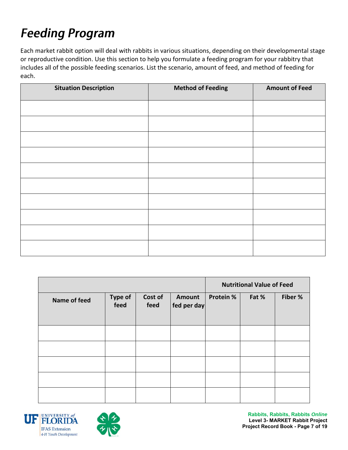# **Feeding Program**

Each market rabbit option will deal with rabbits in various situations, depending on their developmental stage or reproductive condition. Use this section to help you formulate a feeding program for your rabbitry that includes all of the possible feeding scenarios. List the scenario, amount of feed, and method of feeding for each.

| <b>Situation Description</b> | <b>Method of Feeding</b> | <b>Amount of Feed</b> |
|------------------------------|--------------------------|-----------------------|
|                              |                          |                       |
|                              |                          |                       |
|                              |                          |                       |
|                              |                          |                       |
|                              |                          |                       |
|                              |                          |                       |
|                              |                          |                       |
|                              |                          |                       |
|                              |                          |                       |
|                              |                          |                       |

|              |                        |                 |                       | <b>Nutritional Value of Feed</b> |       |         |
|--------------|------------------------|-----------------|-----------------------|----------------------------------|-------|---------|
| Name of feed | <b>Type of</b><br>feed | Cost of<br>feed | Amount<br>fed per day | <b>Protein %</b>                 | Fat % | Fiber % |
|              |                        |                 |                       |                                  |       |         |
|              |                        |                 |                       |                                  |       |         |
|              |                        |                 |                       |                                  |       |         |
|              |                        |                 |                       |                                  |       |         |
|              |                        |                 |                       |                                  |       |         |





**Rabbits, Rabbits, Rabbits** *Online* **Level 3- MARKET Rabbit Project Project Record Book - Page 7 of 19**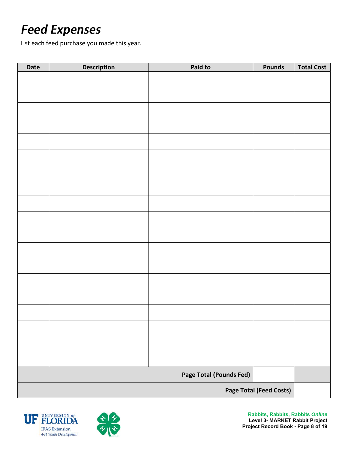# **Feed Expenses**

List each feed purchase you made this year.

| Date                           | <b>Description</b> | Paid to | <b>Pounds</b> | <b>Total Cost</b> |
|--------------------------------|--------------------|---------|---------------|-------------------|
|                                |                    |         |               |                   |
|                                |                    |         |               |                   |
|                                |                    |         |               |                   |
|                                |                    |         |               |                   |
|                                |                    |         |               |                   |
|                                |                    |         |               |                   |
|                                |                    |         |               |                   |
|                                |                    |         |               |                   |
|                                |                    |         |               |                   |
|                                |                    |         |               |                   |
|                                |                    |         |               |                   |
|                                |                    |         |               |                   |
|                                |                    |         |               |                   |
|                                |                    |         |               |                   |
|                                |                    |         |               |                   |
|                                |                    |         |               |                   |
|                                |                    |         |               |                   |
|                                |                    |         |               |                   |
|                                |                    |         |               |                   |
|                                |                    |         |               |                   |
|                                |                    |         |               |                   |
| Page Total (Pounds Fed)        |                    |         |               |                   |
| <b>Page Total (Feed Costs)</b> |                    |         |               |                   |



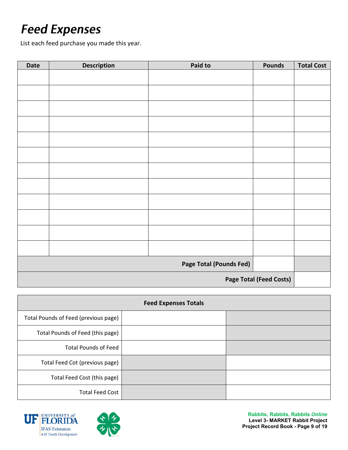## **Feed Expenses**

List each feed purchase you made this year.

| Date                           | <b>Description</b> | Paid to | <b>Pounds</b> | <b>Total Cost</b> |
|--------------------------------|--------------------|---------|---------------|-------------------|
|                                |                    |         |               |                   |
|                                |                    |         |               |                   |
|                                |                    |         |               |                   |
|                                |                    |         |               |                   |
|                                |                    |         |               |                   |
|                                |                    |         |               |                   |
|                                |                    |         |               |                   |
|                                |                    |         |               |                   |
|                                |                    |         |               |                   |
|                                |                    |         |               |                   |
|                                |                    |         |               |                   |
|                                |                    |         |               |                   |
|                                |                    |         |               |                   |
| Page Total (Pounds Fed)        |                    |         |               |                   |
| <b>Page Total (Feed Costs)</b> |                    |         |               |                   |

| <b>Feed Expenses Totals</b>          |  |  |  |
|--------------------------------------|--|--|--|
| Total Pounds of Feed (previous page) |  |  |  |
| Total Pounds of Feed (this page)     |  |  |  |
| <b>Total Pounds of Feed</b>          |  |  |  |
| Total Feed Cot (previous page)       |  |  |  |
| Total Feed Cost (this page)          |  |  |  |
| <b>Total Feed Cost</b>               |  |  |  |





**Rabbits, Rabbits, Rabbits** *Online* **Level 3- MARKET Rabbit Project Project Record Book - Page 9 of 19**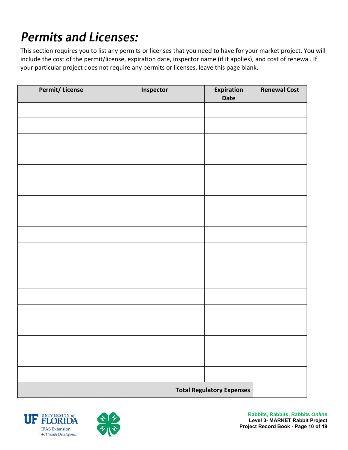# **Permits and Licenses:**

This section requires you to list any permits or licenses that you need to have for your market project. You will include the cost of the permit/license, expiration date, inspector name (if it applies), and cost of renewal. If your particular project does not require any permits or licenses, leave this page blank.

| <b>Permit/License</b> | Inspector | Expiration<br>Date               | <b>Renewal Cost</b> |
|-----------------------|-----------|----------------------------------|---------------------|
|                       |           |                                  |                     |
|                       |           |                                  |                     |
|                       |           |                                  |                     |
|                       |           |                                  |                     |
|                       |           |                                  |                     |
|                       |           |                                  |                     |
|                       |           |                                  |                     |
|                       |           |                                  |                     |
|                       |           |                                  |                     |
|                       |           |                                  |                     |
|                       |           |                                  |                     |
|                       |           |                                  |                     |
|                       |           |                                  |                     |
|                       |           |                                  |                     |
|                       |           |                                  |                     |
|                       |           |                                  |                     |
|                       |           |                                  |                     |
|                       |           |                                  |                     |
|                       |           | <b>Total Regulatory Expenses</b> |                     |



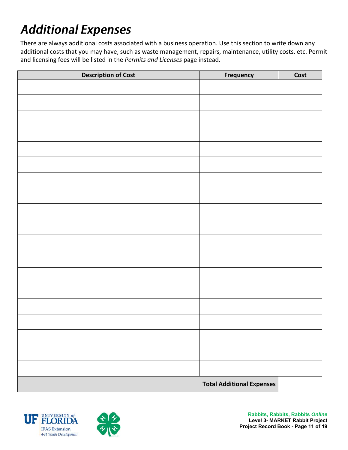# **Additional Expenses**

There are always additional costs associated with a business operation. Use this section to write down any additional costs that you may have, such as waste management, repairs, maintenance, utility costs, etc. Permit and licensing fees will be listed in the *Permits and Licenses* page instead.

| <b>Description of Cost</b> | <b>Frequency</b>                 | Cost |
|----------------------------|----------------------------------|------|
|                            |                                  |      |
|                            |                                  |      |
|                            |                                  |      |
|                            |                                  |      |
|                            |                                  |      |
|                            |                                  |      |
|                            |                                  |      |
|                            |                                  |      |
|                            |                                  |      |
|                            |                                  |      |
|                            |                                  |      |
|                            |                                  |      |
|                            |                                  |      |
|                            |                                  |      |
|                            |                                  |      |
|                            |                                  |      |
|                            |                                  |      |
|                            |                                  |      |
|                            |                                  |      |
|                            |                                  |      |
|                            | <b>Total Additional Expenses</b> |      |



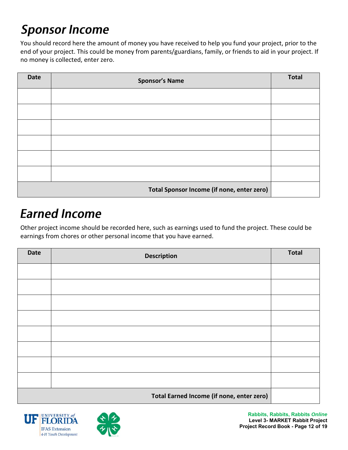# **Sponsor Income**

You should record here the amount of money you have received to help you fund your project, prior to the end of your project. This could be money from parents/guardians, family, or friends to aid in your project. If no money is collected, enter zero.

| <b>Date</b> | <b>Sponsor's Name</b>                      | <b>Total</b> |
|-------------|--------------------------------------------|--------------|
|             |                                            |              |
|             |                                            |              |
|             |                                            |              |
|             |                                            |              |
|             |                                            |              |
|             |                                            |              |
|             | Total Sponsor Income (if none, enter zero) |              |

#### **Earned Income**

Other project income should be recorded here, such as earnings used to fund the project. These could be earnings from chores or other personal income that you have earned.

| <b>Date</b> | <b>Description</b>                        | <b>Total</b> |
|-------------|-------------------------------------------|--------------|
|             |                                           |              |
|             |                                           |              |
|             |                                           |              |
|             |                                           |              |
|             |                                           |              |
|             |                                           |              |
|             |                                           |              |
|             |                                           |              |
|             | Total Earned Income (if none, enter zero) |              |



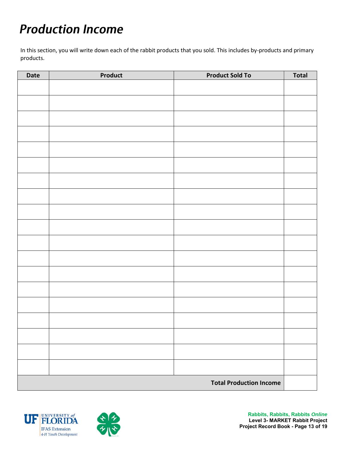# **Production Income**

In this section, you will write down each of the rabbit products that you sold. This includes by-products and primary products.

| Date                           | Product | <b>Product Sold To</b> | <b>Total</b> |
|--------------------------------|---------|------------------------|--------------|
|                                |         |                        |              |
|                                |         |                        |              |
|                                |         |                        |              |
|                                |         |                        |              |
|                                |         |                        |              |
|                                |         |                        |              |
|                                |         |                        |              |
|                                |         |                        |              |
|                                |         |                        |              |
|                                |         |                        |              |
|                                |         |                        |              |
|                                |         |                        |              |
|                                |         |                        |              |
|                                |         |                        |              |
|                                |         |                        |              |
|                                |         |                        |              |
|                                |         |                        |              |
|                                |         |                        |              |
|                                |         |                        |              |
|                                |         |                        |              |
|                                |         |                        |              |
|                                |         |                        |              |
|                                |         |                        |              |
| <b>Total Production Income</b> |         |                        |              |



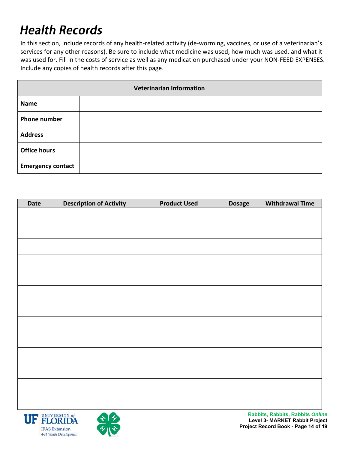### **Health Records**

In this section, include records of any health-related activity (de-worming, vaccines, or use of a veterinarian's services for any other reasons). Be sure to include what medicine was used, how much was used, and what it was used for. Fill in the costs of service as well as any medication purchased under your NON-FEED EXPENSES. Include any copies of health records after this page.

| <b>Veterinarian Information</b> |  |  |  |
|---------------------------------|--|--|--|
| <b>Name</b>                     |  |  |  |
| <b>Phone number</b>             |  |  |  |
| <b>Address</b>                  |  |  |  |
| <b>Office hours</b>             |  |  |  |
| <b>Emergency contact</b>        |  |  |  |

| <b>Date</b> | <b>Description of Activity</b> | <b>Product Used</b> | <b>Dosage</b> | <b>Withdrawal Time</b> |
|-------------|--------------------------------|---------------------|---------------|------------------------|
|             |                                |                     |               |                        |
|             |                                |                     |               |                        |
|             |                                |                     |               |                        |
|             |                                |                     |               |                        |
|             |                                |                     |               |                        |
|             |                                |                     |               |                        |
|             |                                |                     |               |                        |
|             |                                |                     |               |                        |
|             |                                |                     |               |                        |
|             |                                |                     |               |                        |
|             |                                |                     |               |                        |
|             |                                |                     |               |                        |
|             |                                |                     |               |                        |
|             |                                |                     |               |                        |





**Rabbits, Rabbits, Rabbits** *Online* **Level 3- MARKET Rabbit Project Project Record Book - Page 14 of 19**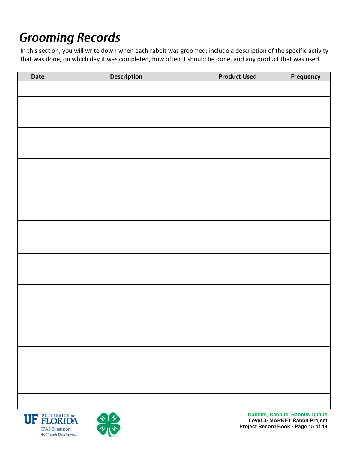# **Grooming Records**

In this section, you will write down when each rabbit was groomed; include a description of the specific activity that was done, on which day it was completed, how often it should be done, and any product that was used.

| <b>Date</b> | <b>Description</b> | <b>Product Used</b> | <b>Frequency</b> |
|-------------|--------------------|---------------------|------------------|
|             |                    |                     |                  |
|             |                    |                     |                  |
|             |                    |                     |                  |
|             |                    |                     |                  |
|             |                    |                     |                  |
|             |                    |                     |                  |
|             |                    |                     |                  |
|             |                    |                     |                  |
|             |                    |                     |                  |
|             |                    |                     |                  |
|             |                    |                     |                  |
|             |                    |                     |                  |
|             |                    |                     |                  |
|             |                    |                     |                  |
|             |                    |                     |                  |
|             |                    |                     |                  |
|             |                    |                     |                  |
|             |                    |                     |                  |
|             |                    |                     |                  |
|             |                    |                     |                  |
|             |                    |                     |                  |
|             |                    |                     |                  |
|             |                    |                     |                  |
|             |                    |                     |                  |
|             |                    |                     |                  |



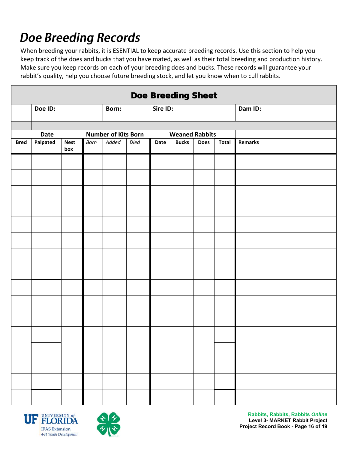# **Doe Breeding Records**

When breeding your rabbits, it is ESENTIAL to keep accurate breeding records. Use this section to help you keep track of the does and bucks that you have mated, as well as their total breeding and production history. Make sure you keep records on each of your breeding does and bucks. These records will guarantee your rabbit's quality, help you choose future breeding stock, and let you know when to cull rabbits.

| <b>Doe Breeding Sheet</b> |             |                    |      |                            |      |                       |              |             |       |                |
|---------------------------|-------------|--------------------|------|----------------------------|------|-----------------------|--------------|-------------|-------|----------------|
|                           | Doe ID:     |                    |      | Born:                      |      | Sire ID:              |              |             |       | Dam ID:        |
|                           |             |                    |      |                            |      |                       |              |             |       |                |
|                           | <b>Date</b> |                    |      | <b>Number of Kits Born</b> |      | <b>Weaned Rabbits</b> |              |             |       |                |
| <b>Bred</b>               | Palpated    | <b>Nest</b><br>box | Born | Added                      | Died | Date                  | <b>Bucks</b> | <b>Does</b> | Total | <b>Remarks</b> |
|                           |             |                    |      |                            |      |                       |              |             |       |                |
|                           |             |                    |      |                            |      |                       |              |             |       |                |
|                           |             |                    |      |                            |      |                       |              |             |       |                |
|                           |             |                    |      |                            |      |                       |              |             |       |                |
|                           |             |                    |      |                            |      |                       |              |             |       |                |
|                           |             |                    |      |                            |      |                       |              |             |       |                |
|                           |             |                    |      |                            |      |                       |              |             |       |                |
|                           |             |                    |      |                            |      |                       |              |             |       |                |
|                           |             |                    |      |                            |      |                       |              |             |       |                |
|                           |             |                    |      |                            |      |                       |              |             |       |                |
|                           |             |                    |      |                            |      |                       |              |             |       |                |
|                           |             |                    |      |                            |      |                       |              |             |       |                |
|                           |             |                    |      |                            |      |                       |              |             |       |                |
|                           |             |                    |      |                            |      |                       |              |             |       |                |
|                           |             |                    |      |                            |      |                       |              |             |       |                |
|                           |             |                    |      |                            |      |                       |              |             |       |                |



**Rabbits, Rabbits, Rabbits** *Online* **Level 3- MARKET Rabbit Project Project Record Book - Page 16 of 19**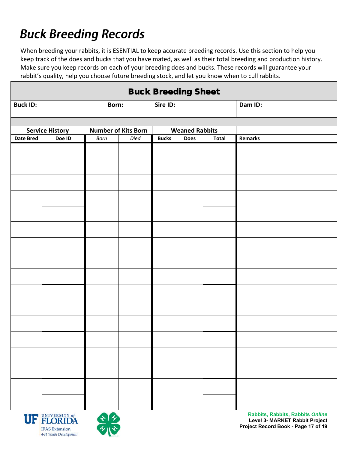# **Buck Breeding Records**

When breeding your rabbits, it is ESENTIAL to keep accurate breeding records. Use this section to help you keep track of the does and bucks that you have mated, as well as their total breeding and production history. Make sure you keep records on each of your breeding does and bucks. These records will guarantee your rabbit's quality, help you choose future breeding stock, and let you know when to cull rabbits.

| <b>Buck Breeding Sheet</b> |                        |      |                            |                       |             |              |                |  |
|----------------------------|------------------------|------|----------------------------|-----------------------|-------------|--------------|----------------|--|
| <b>Buck ID:</b>            |                        |      | Born:                      | Sire ID:              |             |              | Dam ID:        |  |
|                            |                        |      |                            |                       |             |              |                |  |
|                            | <b>Service History</b> |      | <b>Number of Kits Born</b> | <b>Weaned Rabbits</b> |             |              |                |  |
| <b>Date Bred</b>           | Doe ID                 | Born | Died                       | <b>Bucks</b>          | <b>Does</b> | <b>Total</b> | <b>Remarks</b> |  |
|                            |                        |      |                            |                       |             |              |                |  |
|                            |                        |      |                            |                       |             |              |                |  |
|                            |                        |      |                            |                       |             |              |                |  |
|                            |                        |      |                            |                       |             |              |                |  |
|                            |                        |      |                            |                       |             |              |                |  |
|                            |                        |      |                            |                       |             |              |                |  |
|                            |                        |      |                            |                       |             |              |                |  |
|                            |                        |      |                            |                       |             |              |                |  |
|                            |                        |      |                            |                       |             |              |                |  |
|                            |                        |      |                            |                       |             |              |                |  |
|                            |                        |      |                            |                       |             |              |                |  |
|                            |                        |      |                            |                       |             |              |                |  |
|                            |                        |      |                            |                       |             |              |                |  |
|                            |                        |      |                            |                       |             |              |                |  |
|                            |                        |      |                            |                       |             |              |                |  |
|                            |                        |      |                            |                       |             |              |                |  |
|                            |                        |      |                            |                       |             |              |                |  |



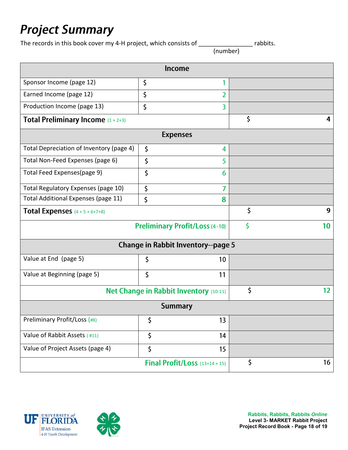### **Project Summary**

The records in this book cover my 4-H project, which consists of \_\_\_\_\_\_\_\_\_\_\_\_\_\_\_\_ rabbits. (number)

|                                               | <b>Income</b>                               |    |   |
|-----------------------------------------------|---------------------------------------------|----|---|
| Sponsor Income (page 12)                      | \$<br>1                                     |    |   |
| Earned Income (page 12)                       | \$<br>2                                     |    |   |
| Production Income (page 13)                   | \$<br>$\overline{3}$                        |    |   |
| <b>Total Preliminary Income</b> $(1 + 2+3)$   |                                             | \$ | 4 |
|                                               | <b>Expenses</b>                             |    |   |
| Total Depreciation of Inventory (page 4)      | \$<br>4                                     |    |   |
| Total Non-Feed Expenses (page 6)              | \$<br>5                                     |    |   |
| Total Feed Expenses(page 9)                   | \$<br>6                                     |    |   |
| Total Regulatory Expenses (page 10)           | \$<br>7                                     |    |   |
| Total Additional Expenses (page 11)           | \$<br>8                                     |    |   |
| <b>Total Expenses</b> $(4 + 5 + 6 + 7 + 8)$   | \$                                          | 9  |   |
| <b>Preliminary Profit/Loss (4-10)</b>         | \$                                          | 10 |   |
|                                               | <b>Change in Rabbit Inventory--page 5</b>   |    |   |
| Value at End (page 5)                         | \$<br>10                                    |    |   |
| Value at Beginning (page 5)                   | \$<br>11                                    |    |   |
| <b>Net Change in Rabbit Inventory (10-11)</b> | \$                                          | 12 |   |
|                                               | <b>Summary</b>                              |    |   |
| Preliminary Profit/Loss (#8)                  | \$<br>13                                    |    |   |
| Value of Rabbit Assets (#11)                  | 14                                          |    |   |
| Value of Project Assets (page 4)              | 15                                          |    |   |
|                                               | \$<br><b>Final Profit/Loss</b> $(13+14+15)$ | 16 |   |